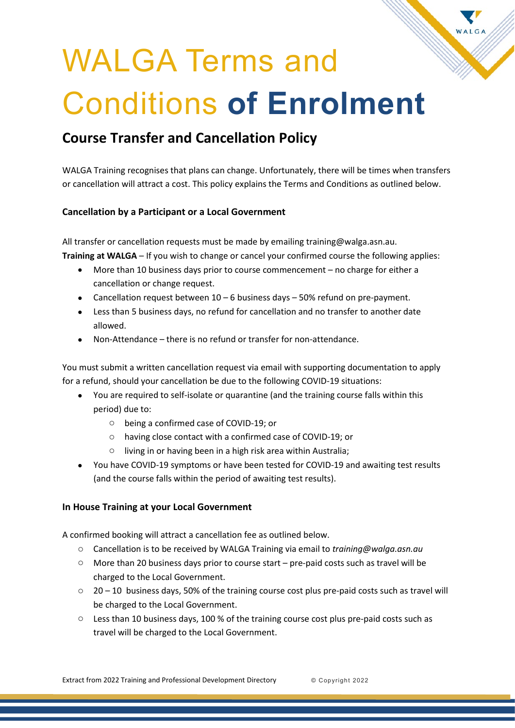# WALGA Terms and Conditions **of Enrolment**

## **Course Transfer and Cancellation Policy**

WALGA Training recognises that plans can change. Unfortunately, there will be times when transfers or cancellation will attract a cost. This policy explains the Terms and Conditions as outlined below.

#### **Cancellation by a Participant or a Local Government**

All transfer or cancellation requests must be made by emailing training@walga.asn.au. **Training at WALGA** – If you wish to change or cancel your confirmed course the following applies:

- More than 10 business days prior to course commencement no charge for either a cancellation or change request.
- Cancellation request between  $10 6$  business days  $-50\%$  refund on pre-payment.
- Less than 5 business days, no refund for cancellation and no transfer to another date allowed.
- Non-Attendance there is no refund or transfer for non-attendance.

You must submit a written cancellation request via email with supporting documentation to apply for a refund, should your cancellation be due to the following COVID-19 situations:

- You are required to self-isolate or quarantine (and the training course falls within this period) due to:
	- o being a confirmed case of COVID-19; or
	- o having close contact with a confirmed case of COVID-19; or
	- o living in or having been in a high risk area within Australia;
- You have COVID-19 symptoms or have been tested for COVID-19 and awaiting test results (and the course falls within the period of awaiting test results).

### **In House Training at your Local Government**

A confirmed booking will attract a cancellation fee as outlined below.

- o Cancellation is to be received by WALGA Training via email to *training@walga.asn.au*
- $\circ$  More than 20 business days prior to course start pre-paid costs such as travel will be charged to the Local Government.
- $\circ$  20 10 business days, 50% of the training course cost plus pre-paid costs such as travel will be charged to the Local Government.
- $\circ$  Less than 10 business days, 100 % of the training course cost plus pre-paid costs such as travel will be charged to the Local Government.

Extract from 2022 Training and Professional Development Directory © Copyright 2022